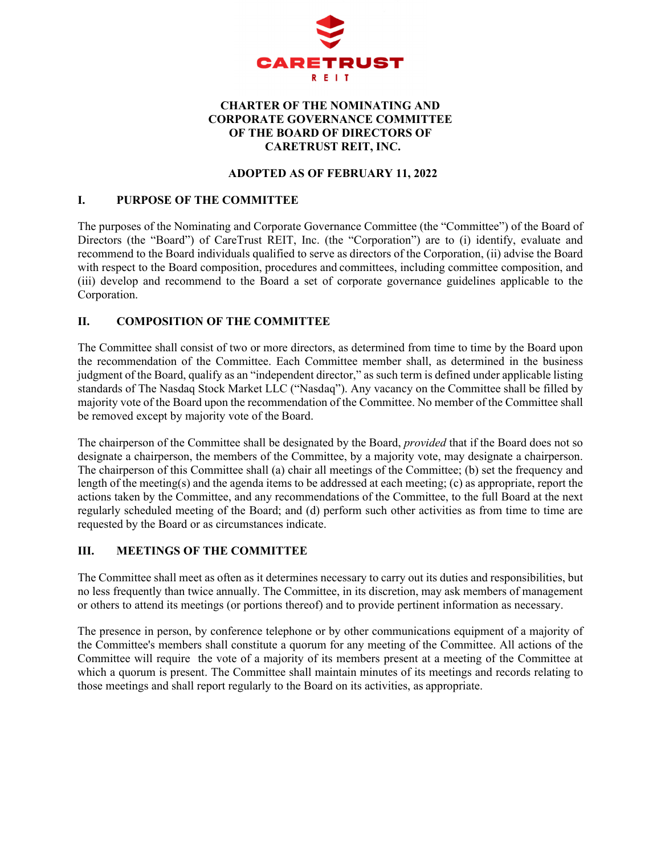

### **CHARTER OF THE NOMINATING AND CORPORATE GOVERNANCE COMMITTEE OF THE BOARD OF DIRECTORS OF CARETRUST REIT, INC.**

### **ADOPTED AS OF FEBRUARY 11, 2022**

#### **I. PURPOSE OF THE COMMITTEE**

The purposes of the Nominating and Corporate Governance Committee (the "Committee") of the Board of Directors (the "Board") of CareTrust REIT, Inc. (the "Corporation") are to (i) identify, evaluate and recommend to the Board individuals qualified to serve as directors of the Corporation, (ii) advise the Board with respect to the Board composition, procedures and committees, including committee composition, and (iii) develop and recommend to the Board a set of corporate governance guidelines applicable to the Corporation.

# **II. COMPOSITION OF THE COMMITTEE**

The Committee shall consist of two or more directors, as determined from time to time by the Board upon the recommendation of the Committee. Each Committee member shall, as determined in the business judgment of the Board, qualify as an "independent director," as such term is defined under applicable listing standards of The Nasdaq Stock Market LLC ("Nasdaq"). Any vacancy on the Committee shall be filled by majority vote of the Board upon the recommendation of the Committee. No member of the Committee shall be removed except by majority vote of the Board.

The chairperson of the Committee shall be designated by the Board, *provided* that if the Board does not so designate a chairperson, the members of the Committee, by a majority vote, may designate a chairperson. The chairperson of this Committee shall (a) chair all meetings of the Committee; (b) set the frequency and length of the meeting(s) and the agenda items to be addressed at each meeting; (c) as appropriate, report the actions taken by the Committee, and any recommendations of the Committee, to the full Board at the next regularly scheduled meeting of the Board; and (d) perform such other activities as from time to time are requested by the Board or as circumstances indicate.

### **III. MEETINGS OF THE COMMITTEE**

The Committee shall meet as often as it determines necessary to carry out its duties and responsibilities, but no less frequently than twice annually. The Committee, in its discretion, may ask members of management or others to attend its meetings (or portions thereof) and to provide pertinent information as necessary.

The presence in person, by conference telephone or by other communications equipment of a majority of the Committee's members shall constitute a quorum for any meeting of the Committee. All actions of the Committee will require the vote of a majority of its members present at a meeting of the Committee at which a quorum is present. The Committee shall maintain minutes of its meetings and records relating to those meetings and shall report regularly to the Board on its activities, as appropriate.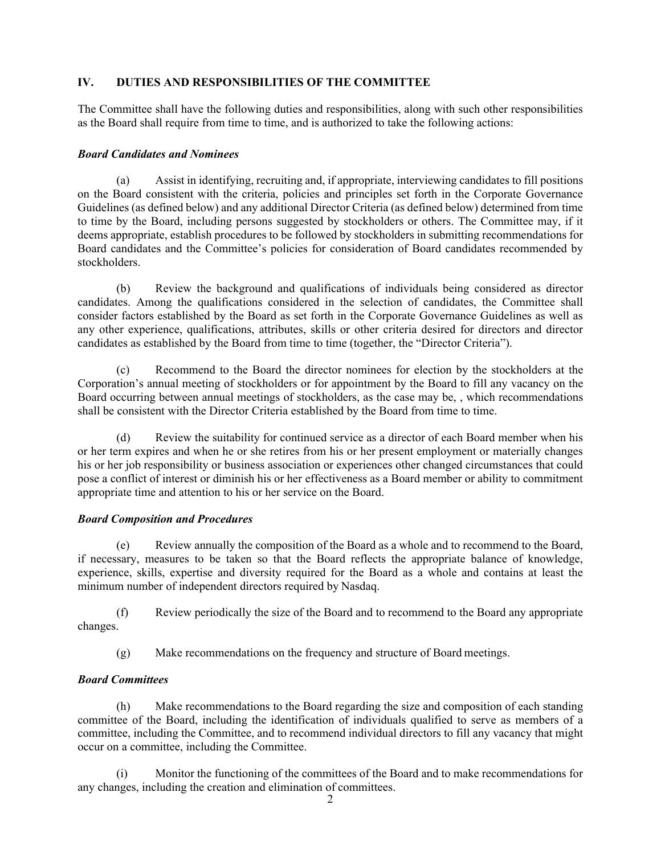# **IV. DUTIES AND RESPONSIBILITIES OF THE COMMITTEE**

The Committee shall have the following duties and responsibilities, along with such other responsibilities as the Board shall require from time to time, and is authorized to take the following actions:

## *Board Candidates and Nominees*

(a) Assist in identifying, recruiting and, if appropriate, interviewing candidates to fill positions on the Board consistent with the criteria, policies and principles set forth in the Corporate Governance Guidelines (as defined below) and any additional Director Criteria (as defined below) determined from time to time by the Board, including persons suggested by stockholders or others. The Committee may, if it deems appropriate, establish procedures to be followed by stockholders in submitting recommendations for Board candidates and the Committee's policies for consideration of Board candidates recommended by stockholders.

(b) Review the background and qualifications of individuals being considered as director candidates. Among the qualifications considered in the selection of candidates, the Committee shall consider factors established by the Board as set forth in the Corporate Governance Guidelines as well as any other experience, qualifications, attributes, skills or other criteria desired for directors and director candidates as established by the Board from time to time (together, the "Director Criteria").

(c) Recommend to the Board the director nominees for election by the stockholders at the Corporation's annual meeting of stockholders or for appointment by the Board to fill any vacancy on the Board occurring between annual meetings of stockholders, as the case may be, , which recommendations shall be consistent with the Director Criteria established by the Board from time to time.

(d) Review the suitability for continued service as a director of each Board member when his or her term expires and when he or she retires from his or her present employment or materially changes his or her job responsibility or business association or experiences other changed circumstances that could pose a conflict of interest or diminish his or her effectiveness as a Board member or ability to commitment appropriate time and attention to his or her service on the Board.

# *Board Composition and Procedures*

(e) Review annually the composition of the Board as a whole and to recommend to the Board, if necessary, measures to be taken so that the Board reflects the appropriate balance of knowledge, experience, skills, expertise and diversity required for the Board as a whole and contains at least the minimum number of independent directors required by Nasdaq.

(f) Review periodically the size of the Board and to recommend to the Board any appropriate changes.

(g) Make recommendations on the frequency and structure of Board meetings.

# *Board Committees*

(h) Make recommendations to the Board regarding the size and composition of each standing committee of the Board, including the identification of individuals qualified to serve as members of a committee, including the Committee, and to recommend individual directors to fill any vacancy that might occur on a committee, including the Committee.

(i) Monitor the functioning of the committees of the Board and to make recommendations for any changes, including the creation and elimination of committees.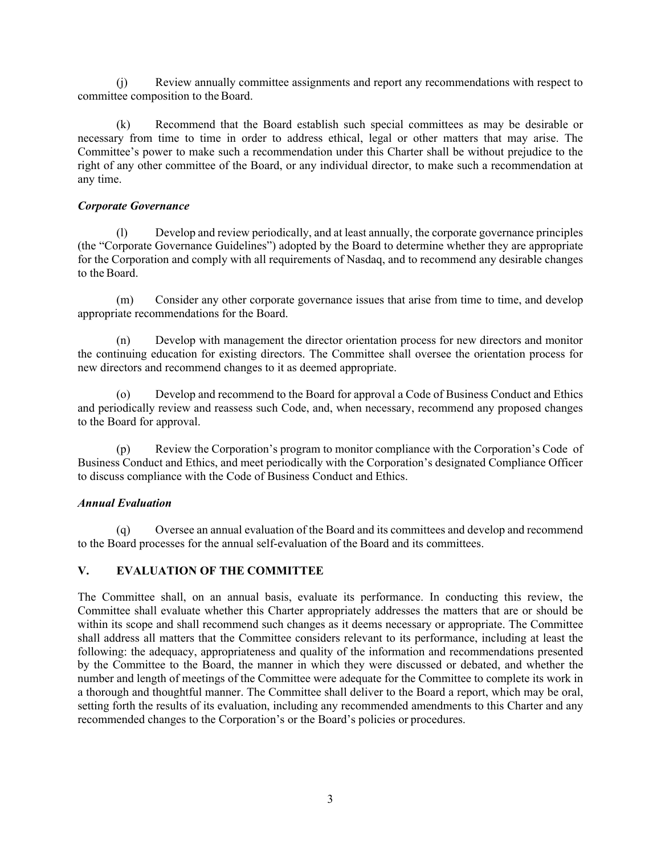(j) Review annually committee assignments and report any recommendations with respect to committee composition to the Board.

(k) Recommend that the Board establish such special committees as may be desirable or necessary from time to time in order to address ethical, legal or other matters that may arise. The Committee's power to make such a recommendation under this Charter shall be without prejudice to the right of any other committee of the Board, or any individual director, to make such a recommendation at any time.

#### *Corporate Governance*

(l) Develop and review periodically, and at least annually, the corporate governance principles (the "Corporate Governance Guidelines") adopted by the Board to determine whether they are appropriate for the Corporation and comply with all requirements of Nasdaq, and to recommend any desirable changes to the Board.

(m) Consider any other corporate governance issues that arise from time to time, and develop appropriate recommendations for the Board.

(n) Develop with management the director orientation process for new directors and monitor the continuing education for existing directors. The Committee shall oversee the orientation process for new directors and recommend changes to it as deemed appropriate.

(o) Develop and recommend to the Board for approval a Code of Business Conduct and Ethics and periodically review and reassess such Code, and, when necessary, recommend any proposed changes to the Board for approval.

(p) Review the Corporation's program to monitor compliance with the Corporation's Code of Business Conduct and Ethics, and meet periodically with the Corporation's designated Compliance Officer to discuss compliance with the Code of Business Conduct and Ethics.

### *Annual Evaluation*

(q) Oversee an annual evaluation of the Board and its committees and develop and recommend to the Board processes for the annual self-evaluation of the Board and its committees.

### **V. EVALUATION OF THE COMMITTEE**

The Committee shall, on an annual basis, evaluate its performance. In conducting this review, the Committee shall evaluate whether this Charter appropriately addresses the matters that are or should be within its scope and shall recommend such changes as it deems necessary or appropriate. The Committee shall address all matters that the Committee considers relevant to its performance, including at least the following: the adequacy, appropriateness and quality of the information and recommendations presented by the Committee to the Board, the manner in which they were discussed or debated, and whether the number and length of meetings of the Committee were adequate for the Committee to complete its work in a thorough and thoughtful manner. The Committee shall deliver to the Board a report, which may be oral, setting forth the results of its evaluation, including any recommended amendments to this Charter and any recommended changes to the Corporation's or the Board's policies or procedures.